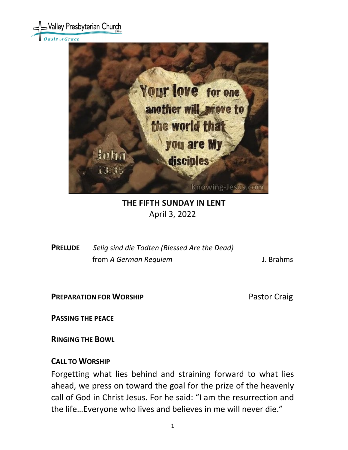



### **THE FIFTH SUNDAY IN LENT** April 3, 2022

**PRELUDE** *Selig sind die Todten (Blessed Are the Dead)* from *A German Requiem* J. Brahms

**PREPARATION FOR WORSHIP** Pastor Craig

**PASSING THE PEACE**

**RINGING THE BOWL** 

## **CALL TO WORSHIP**

Forgetting what lies behind and straining forward to what lies ahead, we press on toward the goal for the prize of the heavenly call of God in Christ Jesus. For he said: "I am the resurrection and the life…Everyone who lives and believes in me will never die."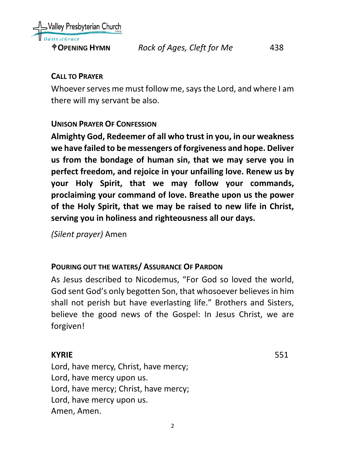

## **CALL TO PRAYER**

Whoever serves me must follow me, says the Lord, and where I am there will my servant be also.

## **UNISON PRAYER OF CONFESSION**

**Almighty God, Redeemer of all who trust in you, in our weakness we have failed to be messengers of forgiveness and hope. Deliver us from the bondage of human sin, that we may serve you in perfect freedom, and rejoice in your unfailing love. Renew us by your Holy Spirit, that we may follow your commands, proclaiming your command of love. Breathe upon us the power of the Holy Spirit, that we may be raised to new life in Christ, serving you in holiness and righteousness all our days.**

*(Silent prayer)* Amen

# **POURING OUT THE WATERS/ ASSURANCE OF PARDON**

As Jesus described to Nicodemus, "For God so loved the world, God sent God's only begotten Son, that whosoever believes in him shall not perish but have everlasting life." Brothers and Sisters, believe the good news of the Gospel: In Jesus Christ, we are forgiven!

## **KYRIE** 551

Lord, have mercy, Christ, have mercy; Lord, have mercy upon us. Lord, have mercy; Christ, have mercy; Lord, have mercy upon us. Amen, Amen.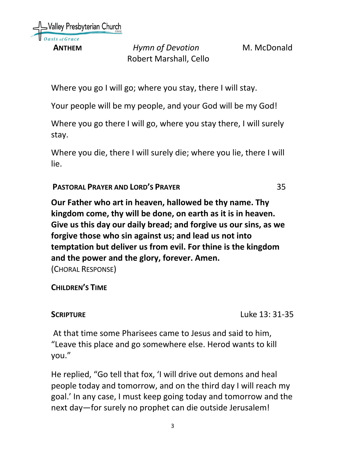Valley Presbyterian Church

**ANTHEM** *Hymn of Devotion* M. McDonald Robert Marshall, Cello

Where you go I will go; where you stay, there I will stay.

Your people will be my people, and your God will be my God!

Where you go there I will go, where you stay there, I will surely stay.

Where you die, there I will surely die; where you lie, there I will lie.

**PASTORAL PRAYER AND LORD'S PRAYER** 35

**Our Father who art in heaven, hallowed be thy name. Thy kingdom come, thy will be done, on earth as it is in heaven. Give us this day our daily bread; and forgive us our sins, as we forgive those who sin against us; and lead us not into temptation but deliver us from evil. For thine is the kingdom and the power and the glory, forever. Amen.**  (CHORAL RESPONSE)

## **CHILDREN'S TIME**

**SCRIPTURE** Luke 13: 31-35

At that time some Pharisees came to Jesus and said to him, "Leave this place and go somewhere else. Herod wants to kill you."

He replied, "Go tell that fox, 'I will drive out demons and heal people today and tomorrow, and on the third day I will reach my goal.' In any case, I must keep going today and tomorrow and the next day—for surely no prophet can die outside Jerusalem!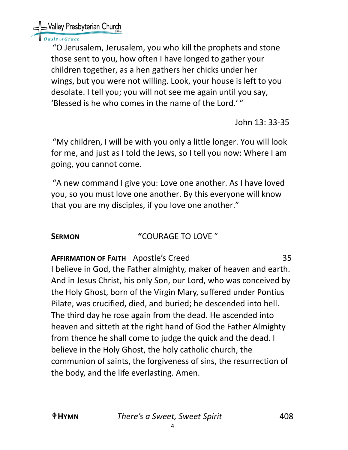SValley Presbyterian Church

# asis of Grace

"O Jerusalem, Jerusalem, you who kill the prophets and stone those sent to you, how often I have longed to gather your children together, as a hen gathers her chicks under her wings, but you were not willing. Look, your house is left to you desolate. I tell you; you will not see me again until you say, 'Blessed is he who comes in the name of the Lord.' "

John 13: 33-35

"My children, I will be with you only a little longer. You will look for me, and just as I told the Jews, so I tell you now: Where I am going, you cannot come.

"A new command I give you: Love one another. As I have loved you, so you must love one another. By this everyone will know that you are my disciples, if you love one another."

# **SERMON "**COURAGE TO LOVE "

**AFFIRMATION OF FAITH** Apostle's Creed 35

I believe in God, the Father almighty, maker of heaven and earth. And in Jesus Christ, his only Son, our Lord, who was conceived by the Holy Ghost, born of the Virgin Mary, suffered under Pontius Pilate, was crucified, died, and buried; he descended into hell. The third day he rose again from the dead. He ascended into heaven and sitteth at the right hand of God the Father Almighty from thence he shall come to judge the quick and the dead. I believe in the Holy Ghost, the holy catholic church, the communion of saints, the forgiveness of sins, the resurrection of the body, and the life everlasting. Amen.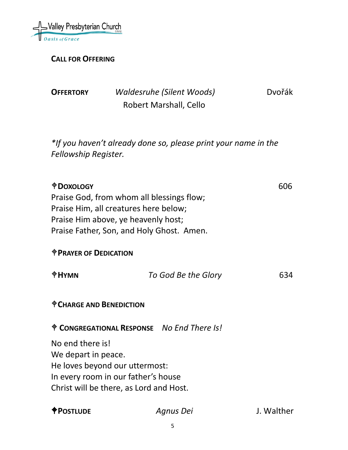

**CALL FOR OFFERING**

| <b>OFFERTORY</b>                                        |                                                                                                                                                                        | <b>Waldesruhe (Silent Woods)</b>                                         | <b>D</b> vořák |
|---------------------------------------------------------|------------------------------------------------------------------------------------------------------------------------------------------------------------------------|--------------------------------------------------------------------------|----------------|
|                                                         |                                                                                                                                                                        | Robert Marshall, Cello                                                   |                |
| Fellowship Register.                                    |                                                                                                                                                                        | *If you haven't already done so, please print your name in the           |                |
| <b><i><u>ODOXOLOGY</u></i></b>                          | Praise God, from whom all blessings flow;<br>Praise Him, all creatures here below;<br>Praise Him above, ye heavenly host;<br>Praise Father, Son, and Holy Ghost. Amen. |                                                                          | 606            |
| <b><i><u>OPRAYER OF DEDICATION</u></i></b>              |                                                                                                                                                                        |                                                                          |                |
| <b>OHYMN</b>                                            |                                                                                                                                                                        | To God Be the Glory                                                      | 634            |
| <sup><math>\bigcirc</math></sup> CHARGE AND BENEDICTION |                                                                                                                                                                        |                                                                          |                |
|                                                         |                                                                                                                                                                        | <sup><math>\dagger</math></sup> CONGREGATIONAL RESPONSE No End There Is! |                |
| No end there is!<br>We depart in peace.                 | He loves beyond our uttermost:<br>In every room in our father's house<br>Christ will be there, as Lord and Host.                                                       |                                                                          |                |

**POSTLUDE** *Agnus Dei* J. Walther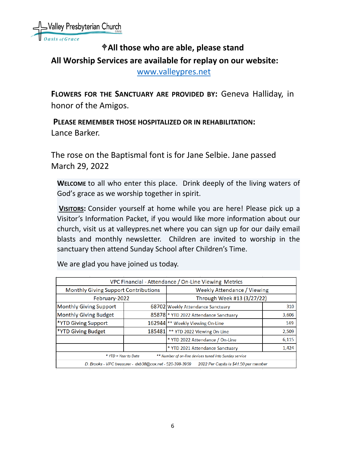# **All those who are able, please stand All Worship Services are available for replay on our website:**

[www.valleypres.net](http://www.valleypres.net/)

**FLOWERS FOR THE SANCTUARY ARE PROVIDED BY:** Geneva Halliday, in honor of the Amigos.

 **PLEASE REMEMBER THOSE HOSPITALIZED OR IN REHABILITATION:** Lance Barker.

The rose on the Baptismal font is for Jane Selbie. Jane passed March 29, 2022

**WELCOME** to all who enter this place. Drink deeply of the living waters of God's grace as we worship together in spirit.

**VISITORS:** Consider yourself at home while you are here! Please pick up a Visitor's Information Packet, if you would like more information about our church, visit us at valleypres.net where you can sign up for our daily email blasts and monthly newsletter. Children are invited to worship in the sanctuary then attend Sunday School after Children's Time.

| VPC Financial - Attendance / On-Line Viewing Metrics                                              |        |                                       |       |  |  |  |
|---------------------------------------------------------------------------------------------------|--------|---------------------------------------|-------|--|--|--|
| Monthly Giving Support Contributions                                                              |        | <b>Weekly Attendance / Viewing</b>    |       |  |  |  |
| February-2022                                                                                     |        | Through Week #13 (3/27/22)            |       |  |  |  |
| <b>Monthly Giving Support</b>                                                                     |        | 68702 Weekly Attendance Sanctuary     | 310   |  |  |  |
| <b>Monthly Giving Budget</b>                                                                      |        | 85878 * YTD 2022 Attendance Sanctuary | 3,606 |  |  |  |
| *YTD Giving Support                                                                               |        | 162944 ** Weekly Viewing On-Line      | 149   |  |  |  |
| *YTD Giving Budget                                                                                | 185481 | ** YTD 2022 Viewing On-Line           | 2,509 |  |  |  |
|                                                                                                   |        | * YTD 2022 Attendance / On-Line       | 6,115 |  |  |  |
|                                                                                                   |        | * YTD 2021 Attendance Sanctuary       | 1,424 |  |  |  |
| ** Number of on-line devices tuned into Sunday service<br>* YTD = Year to Date                    |        |                                       |       |  |  |  |
| D. Brooks - VPC treasurer - dxb38@cox.net - 520-399-3959<br>2022 Per Capita is \$41.50 per member |        |                                       |       |  |  |  |

We are glad you have joined us today.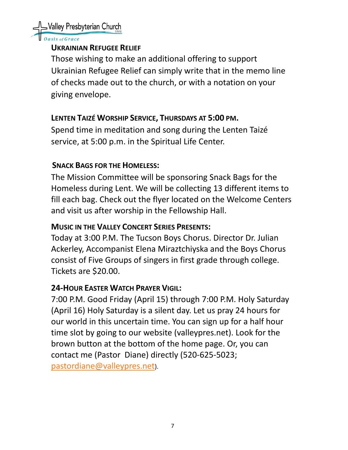Valley Presbyterian Church

sis of Grace

## **UKRAINIAN REFUGEE RELIEF**

Those wishing to make an additional offering to support Ukrainian Refugee Relief can simply write that in the memo line of checks made out to the church, or with a notation on your giving envelope.

# **LENTEN TAIZÉ WORSHIP SERVICE, THURSDAYS AT 5:00 PM.**

Spend time in meditation and song during the Lenten Taizé service, at 5:00 p.m. in the Spiritual Life Center.

# **SNACK BAGS FOR THE HOMELESS:**

The Mission Committee will be sponsoring Snack Bags for the Homeless during Lent. We will be collecting 13 different items to fill each bag. Check out the flyer located on the Welcome Centers and visit us after worship in the Fellowship Hall.

# **MUSIC IN THE VALLEY CONCERT SERIES PRESENTS:**

Today at 3:00 P.M. The Tucson Boys Chorus. Director Dr. Julian Ackerley, Accompanist Elena Miraztchiyska and the Boys Chorus consist of Five Groups of singers in first grade through college. Tickets are \$20.00.

# **24-HOUR EASTER WATCH PRAYER VIGIL:**

7:00 P.M. Good Friday (April 15) through 7:00 P.M. Holy Saturday (April 16) Holy Saturday is a silent day. Let us pray 24 hours for our world in this uncertain time. You can sign up for a half hour time slot by going to our website (valleypres.net). Look for the brown button at the bottom of the home page. Or, you can contact me (Pastor Diane) directly (520-625-5023; [pastordiane@valleypres.net\)](mailto:pastordiane@valleypres.net).